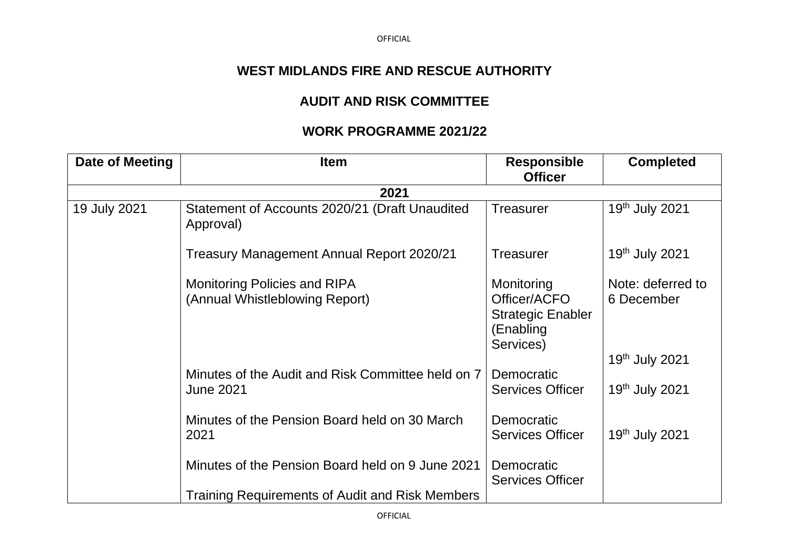## **WEST MIDLANDS FIRE AND RESCUE AUTHORITY**

## **AUDIT AND RISK COMMITTEE**

## **WORK PROGRAMME 2021/22**

| Date of Meeting | <b>Item</b>                                                    | <b>Responsible</b>                                                               | <b>Completed</b>                                  |
|-----------------|----------------------------------------------------------------|----------------------------------------------------------------------------------|---------------------------------------------------|
|                 |                                                                | <b>Officer</b>                                                                   |                                                   |
|                 | 2021                                                           |                                                                                  |                                                   |
| 19 July 2021    | Statement of Accounts 2020/21 (Draft Unaudited<br>Approval)    | <b>Treasurer</b>                                                                 | 19th July 2021                                    |
|                 | Treasury Management Annual Report 2020/21                      | <b>Treasurer</b>                                                                 | 19 <sup>th</sup> July 2021                        |
|                 | Monitoring Policies and RIPA<br>(Annual Whistleblowing Report) | Monitoring<br>Officer/ACFO<br><b>Strategic Enabler</b><br>(Enabling<br>Services) | Note: deferred to<br>6 December<br>19th July 2021 |
|                 | Minutes of the Audit and Risk Committee held on 7              | Democratic                                                                       |                                                   |
|                 | <b>June 2021</b>                                               | <b>Services Officer</b>                                                          | 19th July 2021                                    |
|                 | Minutes of the Pension Board held on 30 March<br>2021          | Democratic<br><b>Services Officer</b>                                            | 19th July 2021                                    |
|                 | Minutes of the Pension Board held on 9 June 2021               | Democratic<br><b>Services Officer</b>                                            |                                                   |
|                 | Training Requirements of Audit and Risk Members                |                                                                                  |                                                   |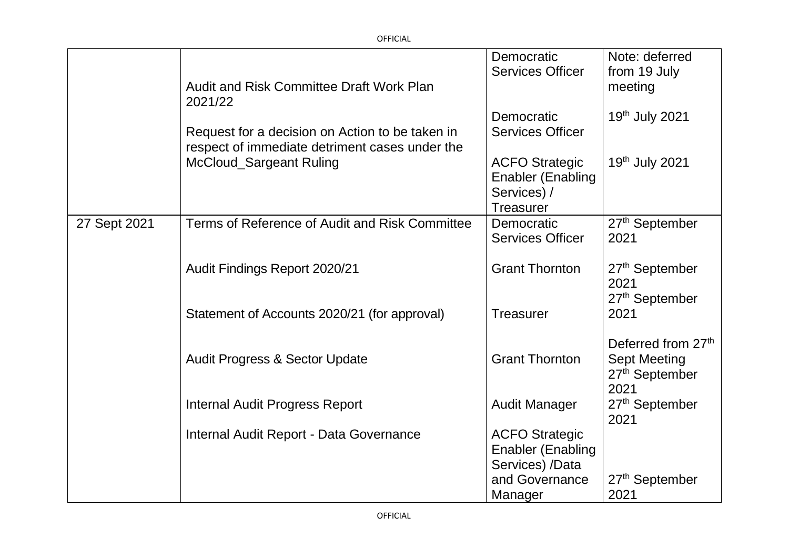|              |                                                                                                   | Democratic                                                                           | Note: deferred                                            |
|--------------|---------------------------------------------------------------------------------------------------|--------------------------------------------------------------------------------------|-----------------------------------------------------------|
|              |                                                                                                   | <b>Services Officer</b>                                                              | from 19 July                                              |
|              | <b>Audit and Risk Committee Draft Work Plan</b><br>2021/22                                        |                                                                                      | meeting                                                   |
|              |                                                                                                   | Democratic                                                                           | 19th July 2021                                            |
|              | Request for a decision on Action to be taken in<br>respect of immediate detriment cases under the | <b>Services Officer</b>                                                              |                                                           |
|              | McCloud_Sargeant Ruling                                                                           | <b>ACFO Strategic</b><br><b>Enabler (Enabling</b><br>Services) /<br><b>Treasurer</b> | 19 <sup>th</sup> July 2021                                |
| 27 Sept 2021 | Terms of Reference of Audit and Risk Committee                                                    | Democratic                                                                           | 27 <sup>th</sup> September                                |
|              |                                                                                                   | <b>Services Officer</b>                                                              | 2021                                                      |
|              |                                                                                                   |                                                                                      |                                                           |
|              | Audit Findings Report 2020/21                                                                     | <b>Grant Thornton</b>                                                                | 27 <sup>th</sup> September<br>2021<br>27th September      |
|              | Statement of Accounts 2020/21 (for approval)                                                      | <b>Treasurer</b>                                                                     | 2021                                                      |
|              |                                                                                                   |                                                                                      | Deferred from 27th                                        |
|              | <b>Audit Progress &amp; Sector Update</b>                                                         | <b>Grant Thornton</b>                                                                | <b>Sept Meeting</b><br>27 <sup>th</sup> September<br>2021 |
|              | <b>Internal Audit Progress Report</b>                                                             | <b>Audit Manager</b>                                                                 | 27 <sup>th</sup> September<br>2021                        |
|              | Internal Audit Report - Data Governance                                                           | <b>ACFO Strategic</b>                                                                |                                                           |
|              |                                                                                                   | <b>Enabler (Enabling</b>                                                             |                                                           |
|              |                                                                                                   | Services) /Data                                                                      |                                                           |
|              |                                                                                                   | and Governance                                                                       | 27 <sup>th</sup> September                                |
|              |                                                                                                   | Manager                                                                              | 2021                                                      |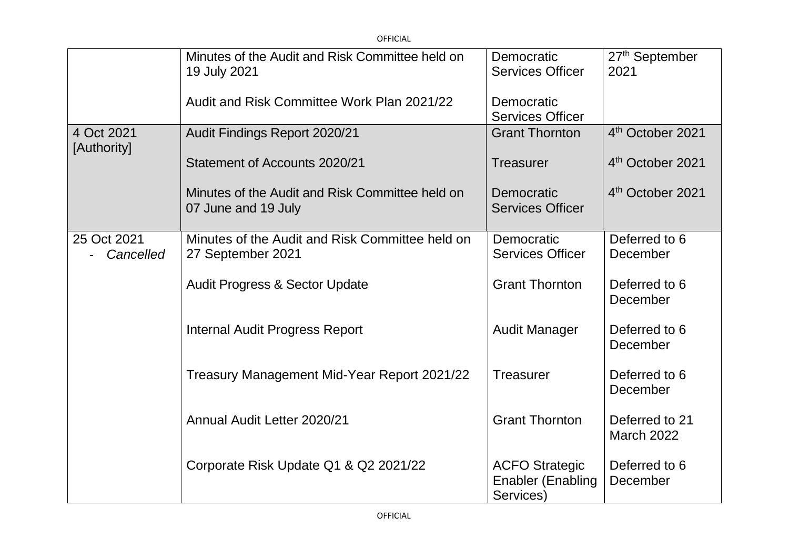| <b>OFFICIAL</b>           |                                                                        |                                                                |                                    |
|---------------------------|------------------------------------------------------------------------|----------------------------------------------------------------|------------------------------------|
|                           | Minutes of the Audit and Risk Committee held on<br>19 July 2021        | Democratic<br><b>Services Officer</b>                          | 27 <sup>th</sup> September<br>2021 |
|                           | Audit and Risk Committee Work Plan 2021/22                             | Democratic<br><b>Services Officer</b>                          |                                    |
| 4 Oct 2021<br>[Authority] | Audit Findings Report 2020/21                                          | <b>Grant Thornton</b>                                          | 4 <sup>th</sup> October 2021       |
|                           | Statement of Accounts 2020/21                                          | <b>Treasurer</b>                                               | 4 <sup>th</sup> October 2021       |
|                           | Minutes of the Audit and Risk Committee held on<br>07 June and 19 July | Democratic<br><b>Services Officer</b>                          | 4 <sup>th</sup> October 2021       |
| 25 Oct 2021<br>Cancelled  | Minutes of the Audit and Risk Committee held on<br>27 September 2021   | Democratic<br><b>Services Officer</b>                          | Deferred to 6<br>December          |
|                           | <b>Audit Progress &amp; Sector Update</b>                              | <b>Grant Thornton</b>                                          | Deferred to 6<br>December          |
|                           | <b>Internal Audit Progress Report</b>                                  | <b>Audit Manager</b>                                           | Deferred to 6<br>December          |
|                           | Treasury Management Mid-Year Report 2021/22                            | <b>Treasurer</b>                                               | Deferred to 6<br>December          |
|                           | Annual Audit Letter 2020/21                                            | <b>Grant Thornton</b>                                          | Deferred to 21<br>March 2022       |
|                           | Corporate Risk Update Q1 & Q2 2021/22                                  | <b>ACFO Strategic</b><br><b>Enabler (Enabling</b><br>Services) | Deferred to 6<br>December          |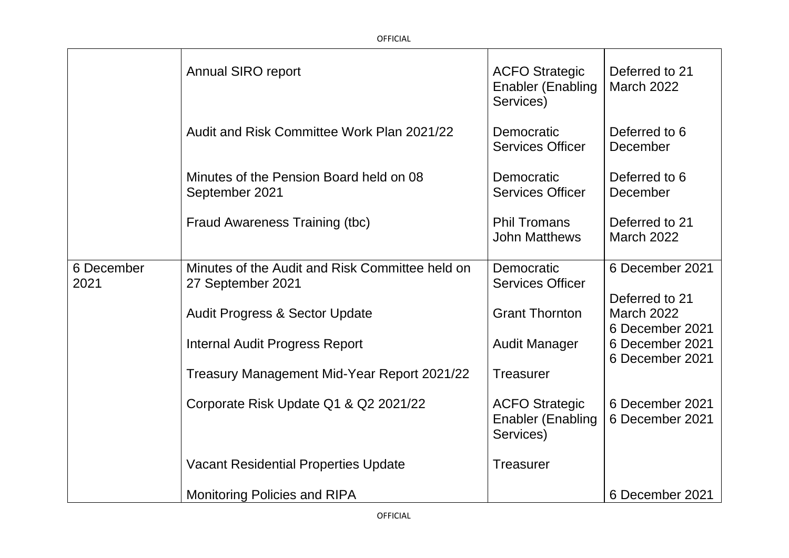|                    | <b>Annual SIRO report</b>                                            | <b>ACFO Strategic</b><br><b>Enabler (Enabling</b><br>Services) | Deferred to 21<br><b>March 2022</b>                    |
|--------------------|----------------------------------------------------------------------|----------------------------------------------------------------|--------------------------------------------------------|
|                    | Audit and Risk Committee Work Plan 2021/22                           | Democratic<br><b>Services Officer</b>                          | Deferred to 6<br>December                              |
|                    | Minutes of the Pension Board held on 08<br>September 2021            | Democratic<br><b>Services Officer</b>                          | Deferred to 6<br>December                              |
|                    | Fraud Awareness Training (tbc)                                       | <b>Phil Tromans</b><br><b>John Matthews</b>                    | Deferred to 21<br><b>March 2022</b>                    |
| 6 December<br>2021 | Minutes of the Audit and Risk Committee held on<br>27 September 2021 | Democratic<br><b>Services Officer</b>                          | 6 December 2021                                        |
|                    | <b>Audit Progress &amp; Sector Update</b>                            | <b>Grant Thornton</b>                                          | Deferred to 21<br><b>March 2022</b><br>6 December 2021 |
|                    | <b>Internal Audit Progress Report</b>                                | <b>Audit Manager</b>                                           | 6 December 2021<br>6 December 2021                     |
|                    | Treasury Management Mid-Year Report 2021/22                          | <b>Treasurer</b>                                               |                                                        |
|                    | Corporate Risk Update Q1 & Q2 2021/22                                | <b>ACFO Strategic</b><br><b>Enabler (Enabling</b><br>Services) | 6 December 2021<br>6 December 2021                     |
|                    | <b>Vacant Residential Properties Update</b>                          | <b>Treasurer</b>                                               |                                                        |
|                    | <b>Monitoring Policies and RIPA</b>                                  |                                                                | 6 December 2021                                        |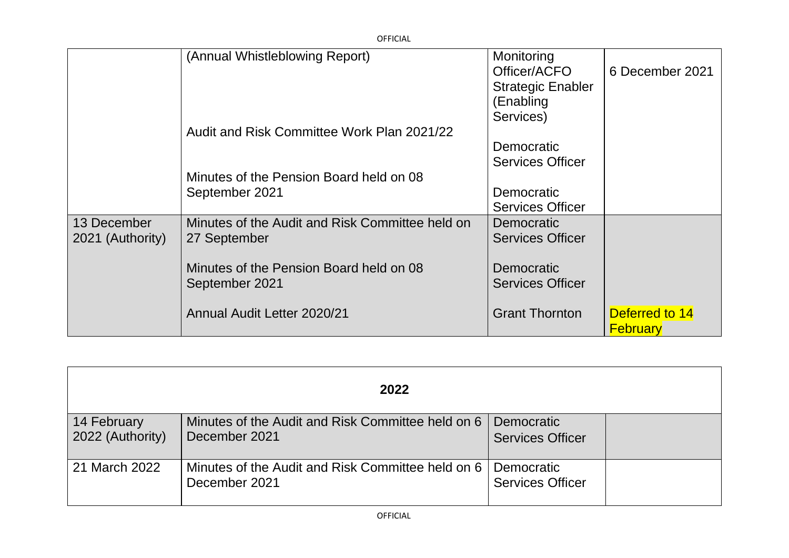| <b>OFFICIAL</b>                 |                                                                 |                                                                                  |                                   |
|---------------------------------|-----------------------------------------------------------------|----------------------------------------------------------------------------------|-----------------------------------|
|                                 | (Annual Whistleblowing Report)                                  | Monitoring<br>Officer/ACFO<br><b>Strategic Enabler</b><br>(Enabling<br>Services) | 6 December 2021                   |
|                                 | Audit and Risk Committee Work Plan 2021/22                      | Democratic<br><b>Services Officer</b>                                            |                                   |
|                                 | Minutes of the Pension Board held on 08<br>September 2021       | Democratic<br><b>Services Officer</b>                                            |                                   |
| 13 December<br>2021 (Authority) | Minutes of the Audit and Risk Committee held on<br>27 September | Democratic<br><b>Services Officer</b>                                            |                                   |
|                                 | Minutes of the Pension Board held on 08<br>September 2021       | Democratic<br><b>Services Officer</b>                                            |                                   |
|                                 | <b>Annual Audit Letter 2020/21</b>                              | <b>Grant Thornton</b>                                                            | Deferred to 14<br><b>February</b> |

| 2022                            |                                                                    |                                              |  |
|---------------------------------|--------------------------------------------------------------------|----------------------------------------------|--|
| 14 February<br>2022 (Authority) | Minutes of the Audit and Risk Committee held on 6<br>December 2021 | <b>Democratic</b><br><b>Services Officer</b> |  |
| 21 March 2022                   | Minutes of the Audit and Risk Committee held on 6<br>December 2021 | Democratic<br><b>Services Officer</b>        |  |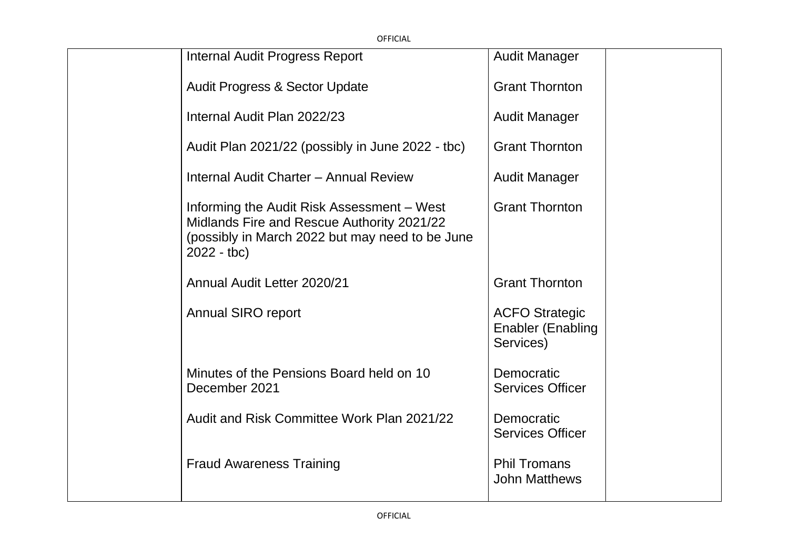| <b>OFFICIAL</b> |                                                                                                                                                             |                                                                |  |
|-----------------|-------------------------------------------------------------------------------------------------------------------------------------------------------------|----------------------------------------------------------------|--|
|                 | <b>Internal Audit Progress Report</b>                                                                                                                       | <b>Audit Manager</b>                                           |  |
|                 | <b>Audit Progress &amp; Sector Update</b>                                                                                                                   | <b>Grant Thornton</b>                                          |  |
|                 | Internal Audit Plan 2022/23                                                                                                                                 | <b>Audit Manager</b>                                           |  |
|                 | Audit Plan 2021/22 (possibly in June 2022 - tbc)                                                                                                            | <b>Grant Thornton</b>                                          |  |
|                 | Internal Audit Charter - Annual Review                                                                                                                      | <b>Audit Manager</b>                                           |  |
|                 | Informing the Audit Risk Assessment – West<br>Midlands Fire and Rescue Authority 2021/22<br>(possibly in March 2022 but may need to be June<br>$2022 - tbc$ | <b>Grant Thornton</b>                                          |  |
|                 | Annual Audit Letter 2020/21                                                                                                                                 | <b>Grant Thornton</b>                                          |  |
|                 | <b>Annual SIRO report</b>                                                                                                                                   | <b>ACFO Strategic</b><br><b>Enabler (Enabling</b><br>Services) |  |
|                 | Minutes of the Pensions Board held on 10<br>December 2021                                                                                                   | Democratic<br><b>Services Officer</b>                          |  |
|                 | Audit and Risk Committee Work Plan 2021/22                                                                                                                  | Democratic<br><b>Services Officer</b>                          |  |
|                 | <b>Fraud Awareness Training</b>                                                                                                                             | <b>Phil Tromans</b><br><b>John Matthews</b>                    |  |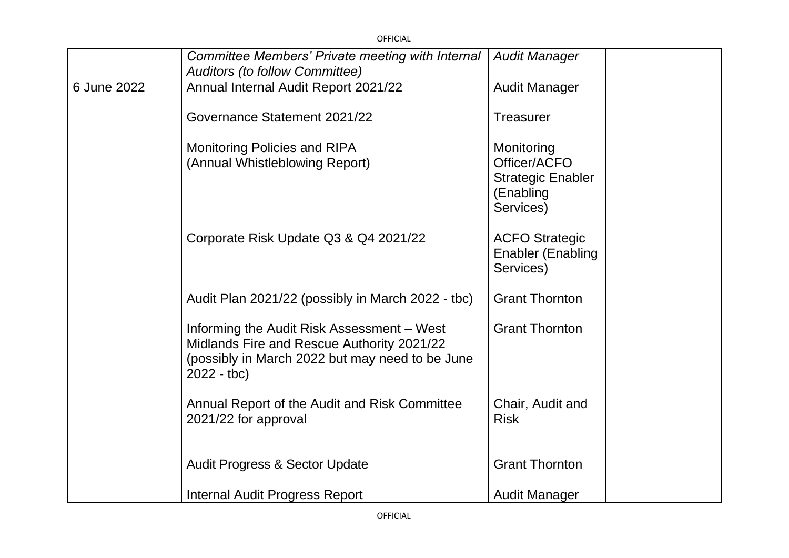|             | <b>OFFICIAL</b>                                                                                                                                             |                                                                                  |  |
|-------------|-------------------------------------------------------------------------------------------------------------------------------------------------------------|----------------------------------------------------------------------------------|--|
|             | Committee Members' Private meeting with Internal<br><b>Auditors (to follow Committee)</b>                                                                   | <b>Audit Manager</b>                                                             |  |
| 6 June 2022 | Annual Internal Audit Report 2021/22                                                                                                                        | <b>Audit Manager</b>                                                             |  |
|             | Governance Statement 2021/22                                                                                                                                | <b>Treasurer</b>                                                                 |  |
|             | Monitoring Policies and RIPA<br>(Annual Whistleblowing Report)                                                                                              | Monitoring<br>Officer/ACFO<br><b>Strategic Enabler</b><br>(Enabling<br>Services) |  |
|             | Corporate Risk Update Q3 & Q4 2021/22                                                                                                                       | <b>ACFO Strategic</b><br><b>Enabler (Enabling</b><br>Services)                   |  |
|             | Audit Plan 2021/22 (possibly in March 2022 - tbc)                                                                                                           | <b>Grant Thornton</b>                                                            |  |
|             | Informing the Audit Risk Assessment – West<br>Midlands Fire and Rescue Authority 2021/22<br>(possibly in March 2022 but may need to be June<br>$2022 - tbc$ | <b>Grant Thornton</b>                                                            |  |
|             | Annual Report of the Audit and Risk Committee<br>2021/22 for approval                                                                                       | Chair, Audit and<br><b>Risk</b>                                                  |  |
|             | <b>Audit Progress &amp; Sector Update</b>                                                                                                                   | <b>Grant Thornton</b>                                                            |  |
|             | Internal Audit Progress Report                                                                                                                              | <b>Audit Manager</b>                                                             |  |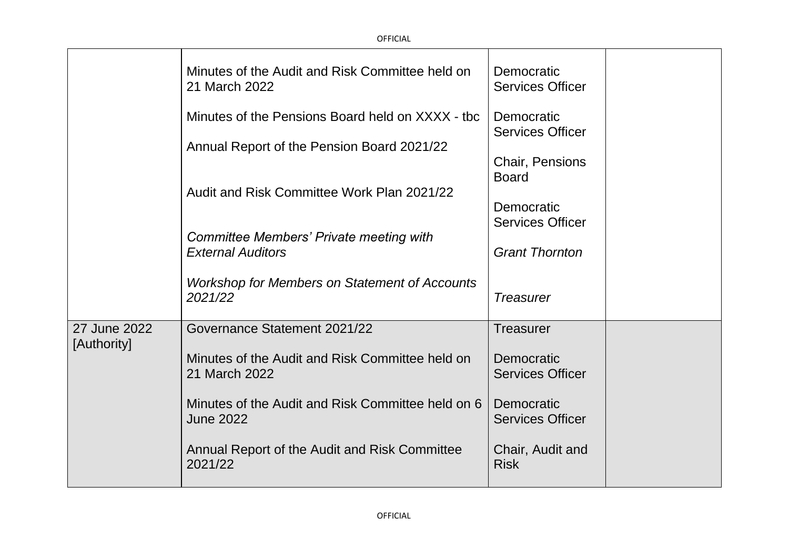|                             | Minutes of the Audit and Risk Committee held on<br>21 March 2022      | Democratic<br><b>Services Officer</b>            |  |
|-----------------------------|-----------------------------------------------------------------------|--------------------------------------------------|--|
|                             | Minutes of the Pensions Board held on XXXX - tbc                      | Democratic<br><b>Services Officer</b>            |  |
|                             | Annual Report of the Pension Board 2021/22                            | <b>Chair, Pensions</b><br><b>Board</b>           |  |
|                             | Audit and Risk Committee Work Plan 2021/22                            | Democratic                                       |  |
|                             | Committee Members' Private meeting with<br><b>External Auditors</b>   | <b>Services Officer</b><br><b>Grant Thornton</b> |  |
|                             | <b>Workshop for Members on Statement of Accounts</b>                  |                                                  |  |
|                             | 2021/22                                                               | <b>Treasurer</b>                                 |  |
| 27 June 2022<br>[Authority] | Governance Statement 2021/22                                          | <b>Treasurer</b>                                 |  |
|                             | Minutes of the Audit and Risk Committee held on<br>21 March 2022      | Democratic<br><b>Services Officer</b>            |  |
|                             | Minutes of the Audit and Risk Committee held on 6<br><b>June 2022</b> | Democratic<br><b>Services Officer</b>            |  |
|                             | Annual Report of the Audit and Risk Committee<br>2021/22              | Chair, Audit and<br><b>Risk</b>                  |  |